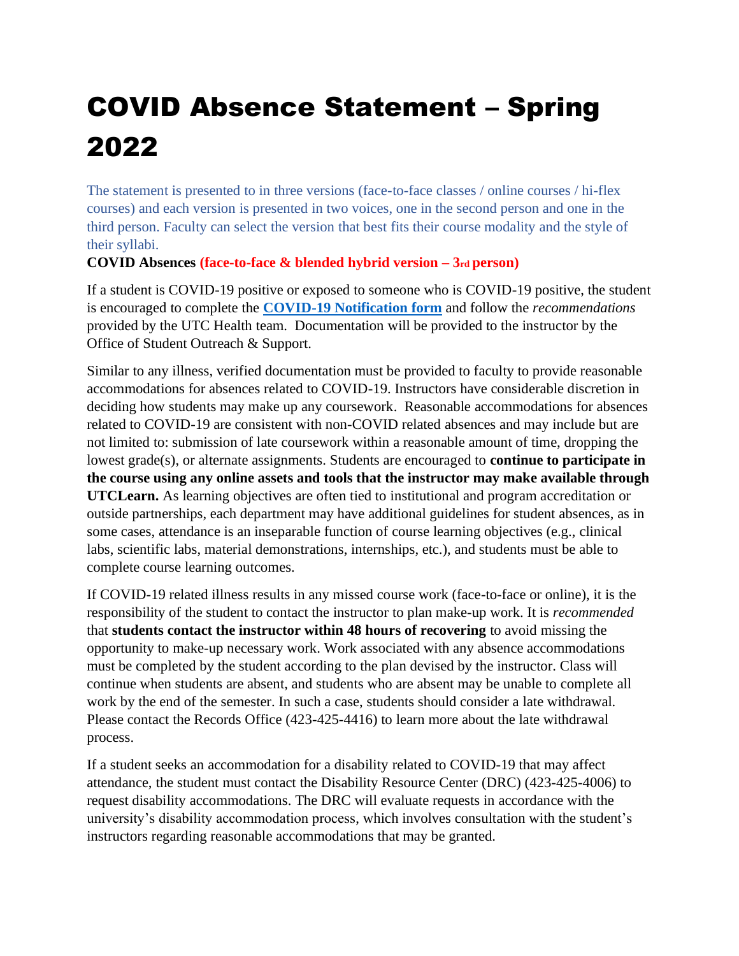# COVID Absence Statement – Spring 2022

The statement is presented to in three versions (face-to-face classes / online courses / hi-flex courses) and each version is presented in two voices, one in the second person and one in the third person. Faculty can select the version that best fits their course modality and the style of their syllabi.

# **COVID Absences (face-to-face & blended hybrid version – 3rd person)**

If a student is COVID-19 positive or exposed to someone who is COVID-19 positive, the student is encouraged to complete the **[COVID-19 Notification form](https://cm.maxient.com/reportingform.php?UTChattanooga&layout_id=61)** and follow the *recommendations* provided by the UTC Health team. Documentation will be provided to the instructor by the Office of Student Outreach & Support.

Similar to any illness, verified documentation must be provided to faculty to provide reasonable accommodations for absences related to COVID-19. Instructors have considerable discretion in deciding how students may make up any coursework. Reasonable accommodations for absences related to COVID-19 are consistent with non-COVID related absences and may include but are not limited to: submission of late coursework within a reasonable amount of time, dropping the lowest grade(s), or alternate assignments. Students are encouraged to **continue to participate in the course using any online assets and tools that the instructor may make available through UTCLearn.** As learning objectives are often tied to institutional and program accreditation or outside partnerships, each department may have additional guidelines for student absences, as in some cases, attendance is an inseparable function of course learning objectives (e.g., clinical labs, scientific labs, material demonstrations, internships, etc.), and students must be able to complete course learning outcomes.

If COVID-19 related illness results in any missed course work (face-to-face or online), it is the responsibility of the student to contact the instructor to plan make-up work. It is *recommended* that **students contact the instructor within 48 hours of recovering** to avoid missing the opportunity to make-up necessary work. Work associated with any absence accommodations must be completed by the student according to the plan devised by the instructor. Class will continue when students are absent, and students who are absent may be unable to complete all work by the end of the semester. In such a case, students should consider a late withdrawal. Please contact the Records Office (423-425-4416) to learn more about the late withdrawal process.

If a student seeks an accommodation for a disability related to COVID-19 that may affect attendance, the student must contact the Disability Resource Center (DRC) (423-425-4006) to request disability accommodations. The DRC will evaluate requests in accordance with the university's disability accommodation process, which involves consultation with the student's instructors regarding reasonable accommodations that may be granted.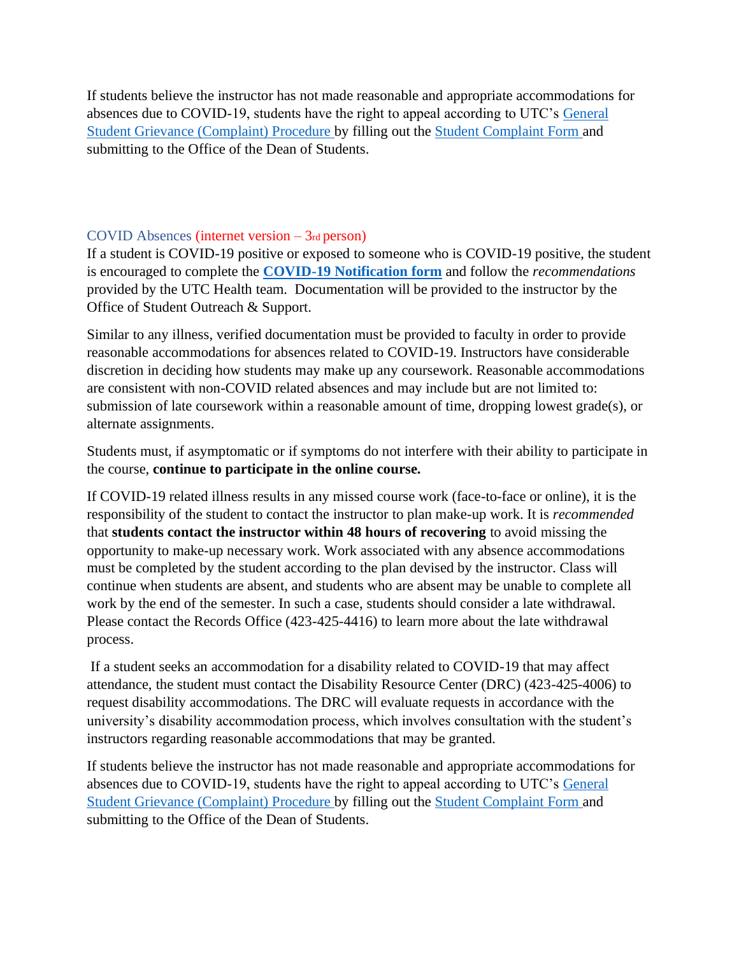If students believe the instructor has not made reasonable and appropriate accommodations for absences due to COVID-19, students have the right to appeal according to UTC's [General](https://www.utc.edu/dean-students/complaint.php)  [Student Grievance \(Complaint\) Procedure b](https://www.utc.edu/dean-students/complaint.php)y filling out the [Student Complaint Form a](https://cm.maxient.com/reportingform.php?UTChattanooga&layout_id=70)nd submitting to the Office of the Dean of Students.

#### COVID Absences (internet version – 3rd person)

If a student is COVID-19 positive or exposed to someone who is COVID-19 positive, the student is encouraged to complete the **[COVID-19 Notification form](https://cm.maxient.com/reportingform.php?UTChattanooga&layout_id=61)** and follow the *recommendations* provided by the UTC Health team. Documentation will be provided to the instructor by the Office of Student Outreach & Support.

Similar to any illness, verified documentation must be provided to faculty in order to provide reasonable accommodations for absences related to COVID-19. Instructors have considerable discretion in deciding how students may make up any coursework. Reasonable accommodations are consistent with non-COVID related absences and may include but are not limited to: submission of late coursework within a reasonable amount of time, dropping lowest grade(s), or alternate assignments.

Students must, if asymptomatic or if symptoms do not interfere with their ability to participate in the course, **continue to participate in the online course.**

If COVID-19 related illness results in any missed course work (face-to-face or online), it is the responsibility of the student to contact the instructor to plan make-up work. It is *recommended* that **students contact the instructor within 48 hours of recovering** to avoid missing the opportunity to make-up necessary work. Work associated with any absence accommodations must be completed by the student according to the plan devised by the instructor. Class will continue when students are absent, and students who are absent may be unable to complete all work by the end of the semester. In such a case, students should consider a late withdrawal. Please contact the Records Office (423-425-4416) to learn more about the late withdrawal process.

If a student seeks an accommodation for a disability related to COVID-19 that may affect attendance, the student must contact the Disability Resource Center (DRC) (423-425-4006) to request disability accommodations. The DRC will evaluate requests in accordance with the university's disability accommodation process, which involves consultation with the student's instructors regarding reasonable accommodations that may be granted.

If students believe the instructor has not made reasonable and appropriate accommodations for absences due to COVID-19, students have the right to appeal according to UTC's [General](https://www.utc.edu/dean-students/complaint.php)  [Student Grievance \(Complaint\) Procedure b](https://www.utc.edu/dean-students/complaint.php)y filling out the [Student Complaint Form a](https://cm.maxient.com/reportingform.php?UTChattanooga&layout_id=70)nd submitting to the Office of the Dean of Students.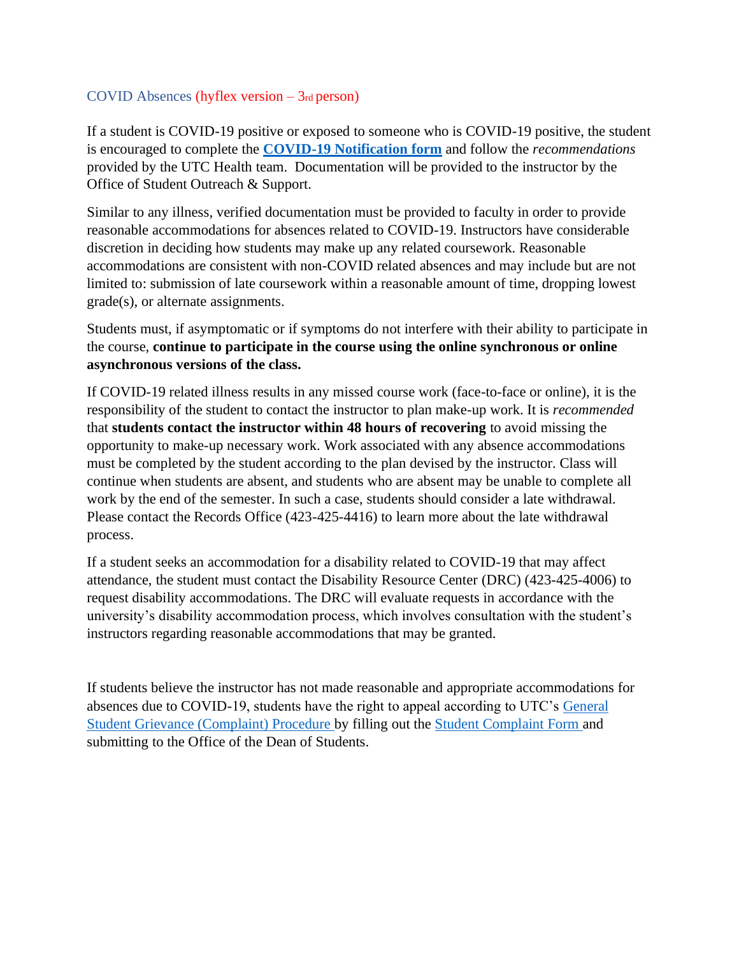## COVID Absences (hyflex version – 3rd person)

If a student is COVID-19 positive or exposed to someone who is COVID-19 positive, the student is encouraged to complete the **[COVID-19 Notification form](https://cm.maxient.com/reportingform.php?UTChattanooga&layout_id=61)** and follow the *recommendations* provided by the UTC Health team. Documentation will be provided to the instructor by the Office of Student Outreach & Support.

Similar to any illness, verified documentation must be provided to faculty in order to provide reasonable accommodations for absences related to COVID-19. Instructors have considerable discretion in deciding how students may make up any related coursework. Reasonable accommodations are consistent with non-COVID related absences and may include but are not limited to: submission of late coursework within a reasonable amount of time, dropping lowest grade(s), or alternate assignments.

Students must, if asymptomatic or if symptoms do not interfere with their ability to participate in the course, **continue to participate in the course using the online synchronous or online asynchronous versions of the class.**

If COVID-19 related illness results in any missed course work (face-to-face or online), it is the responsibility of the student to contact the instructor to plan make-up work. It is *recommended* that **students contact the instructor within 48 hours of recovering** to avoid missing the opportunity to make-up necessary work. Work associated with any absence accommodations must be completed by the student according to the plan devised by the instructor. Class will continue when students are absent, and students who are absent may be unable to complete all work by the end of the semester. In such a case, students should consider a late withdrawal. Please contact the Records Office (423-425-4416) to learn more about the late withdrawal process.

If a student seeks an accommodation for a disability related to COVID-19 that may affect attendance, the student must contact the Disability Resource Center (DRC) (423-425-4006) to request disability accommodations. The DRC will evaluate requests in accordance with the university's disability accommodation process, which involves consultation with the student's instructors regarding reasonable accommodations that may be granted.

If students believe the instructor has not made reasonable and appropriate accommodations for absences due to COVID-19, students have the right to appeal according to UTC's [General](https://www.utc.edu/dean-students/complaint.php)  [Student Grievance \(Complaint\) Procedure b](https://www.utc.edu/dean-students/complaint.php)y filling out the [Student Complaint Form a](https://cm.maxient.com/reportingform.php?UTChattanooga&layout_id=70)nd submitting to the Office of the Dean of Students.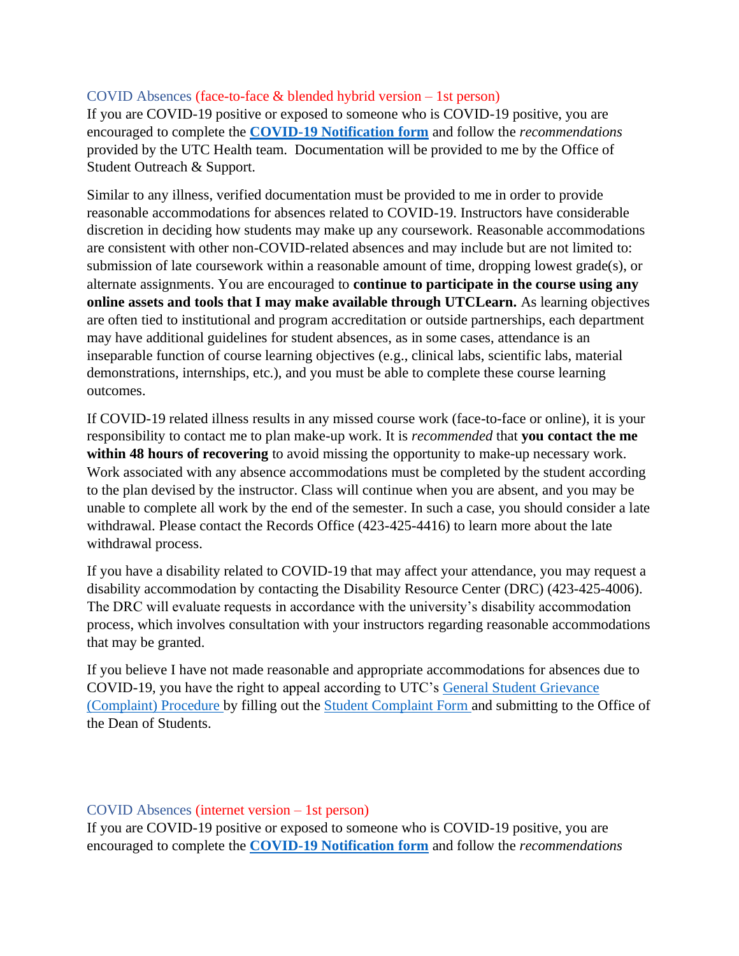### COVID Absences (face-to-face & blended hybrid version – 1st person)

If you are COVID-19 positive or exposed to someone who is COVID-19 positive, you are encouraged to complete the **[COVID-19 Notification form](https://cm.maxient.com/reportingform.php?UTChattanooga&layout_id=61)** and follow the *recommendations* provided by the UTC Health team. Documentation will be provided to me by the Office of Student Outreach & Support.

Similar to any illness, verified documentation must be provided to me in order to provide reasonable accommodations for absences related to COVID-19. Instructors have considerable discretion in deciding how students may make up any coursework. Reasonable accommodations are consistent with other non-COVID-related absences and may include but are not limited to: submission of late coursework within a reasonable amount of time, dropping lowest grade(s), or alternate assignments. You are encouraged to **continue to participate in the course using any online assets and tools that I may make available through UTCLearn.** As learning objectives are often tied to institutional and program accreditation or outside partnerships, each department may have additional guidelines for student absences, as in some cases, attendance is an inseparable function of course learning objectives (e.g., clinical labs, scientific labs, material demonstrations, internships, etc.), and you must be able to complete these course learning outcomes.

If COVID-19 related illness results in any missed course work (face-to-face or online), it is your responsibility to contact me to plan make-up work. It is *recommended* that **you contact the me within 48 hours of recovering** to avoid missing the opportunity to make-up necessary work. Work associated with any absence accommodations must be completed by the student according to the plan devised by the instructor. Class will continue when you are absent, and you may be unable to complete all work by the end of the semester. In such a case, you should consider a late withdrawal. Please contact the Records Office (423-425-4416) to learn more about the late withdrawal process.

If you have a disability related to COVID-19 that may affect your attendance, you may request a disability accommodation by contacting the Disability Resource Center (DRC) (423-425-4006). The DRC will evaluate requests in accordance with the university's disability accommodation process, which involves consultation with your instructors regarding reasonable accommodations that may be granted.

If you believe I have not made reasonable and appropriate accommodations for absences due to COVID-19, you have the right to appeal according to UTC's [General Student Grievance](https://www.utc.edu/dean-students/complaint.php)  [\(Complaint\) Procedure b](https://www.utc.edu/dean-students/complaint.php)y filling out the [Student Complaint Form a](https://cm.maxient.com/reportingform.php?UTChattanooga&layout_id=70)nd submitting to the Office of the Dean of Students.

#### COVID Absences (internet version – 1st person)

If you are COVID-19 positive or exposed to someone who is COVID-19 positive, you are encouraged to complete the **[COVID-19 Notification form](https://cm.maxient.com/reportingform.php?UTChattanooga&layout_id=61)** and follow the *recommendations*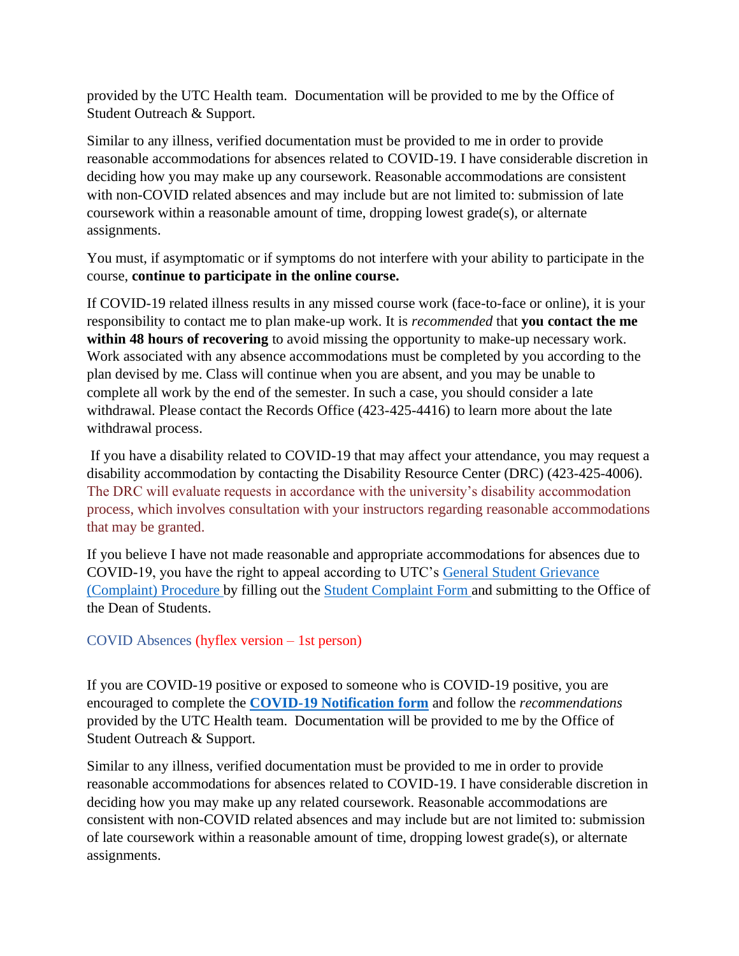provided by the UTC Health team. Documentation will be provided to me by the Office of Student Outreach & Support.

Similar to any illness, verified documentation must be provided to me in order to provide reasonable accommodations for absences related to COVID-19. I have considerable discretion in deciding how you may make up any coursework. Reasonable accommodations are consistent with non-COVID related absences and may include but are not limited to: submission of late coursework within a reasonable amount of time, dropping lowest grade(s), or alternate assignments.

You must, if asymptomatic or if symptoms do not interfere with your ability to participate in the course, **continue to participate in the online course.**

If COVID-19 related illness results in any missed course work (face-to-face or online), it is your responsibility to contact me to plan make-up work. It is *recommended* that **you contact the me within 48 hours of recovering** to avoid missing the opportunity to make-up necessary work. Work associated with any absence accommodations must be completed by you according to the plan devised by me. Class will continue when you are absent, and you may be unable to complete all work by the end of the semester. In such a case, you should consider a late withdrawal. Please contact the Records Office (423-425-4416) to learn more about the late withdrawal process.

If you have a disability related to COVID-19 that may affect your attendance, you may request a disability accommodation by contacting the Disability Resource Center (DRC) (423-425-4006). The DRC will evaluate requests in accordance with the university's disability accommodation process, which involves consultation with your instructors regarding reasonable accommodations that may be granted.

If you believe I have not made reasonable and appropriate accommodations for absences due to COVID-19, you have the right to appeal according to UTC's [General Student Grievance](https://www.utc.edu/dean-students/complaint.php)  [\(Complaint\) Procedure b](https://www.utc.edu/dean-students/complaint.php)y filling out the [Student Complaint Form a](https://cm.maxient.com/reportingform.php?UTChattanooga&layout_id=70)nd submitting to the Office of the Dean of Students.

# COVID Absences (hyflex version – 1st person)

If you are COVID-19 positive or exposed to someone who is COVID-19 positive, you are encouraged to complete the **[COVID-19 Notification form](https://cm.maxient.com/reportingform.php?UTChattanooga&layout_id=61)** and follow the *recommendations* provided by the UTC Health team. Documentation will be provided to me by the Office of Student Outreach & Support.

Similar to any illness, verified documentation must be provided to me in order to provide reasonable accommodations for absences related to COVID-19. I have considerable discretion in deciding how you may make up any related coursework. Reasonable accommodations are consistent with non-COVID related absences and may include but are not limited to: submission of late coursework within a reasonable amount of time, dropping lowest grade(s), or alternate assignments.